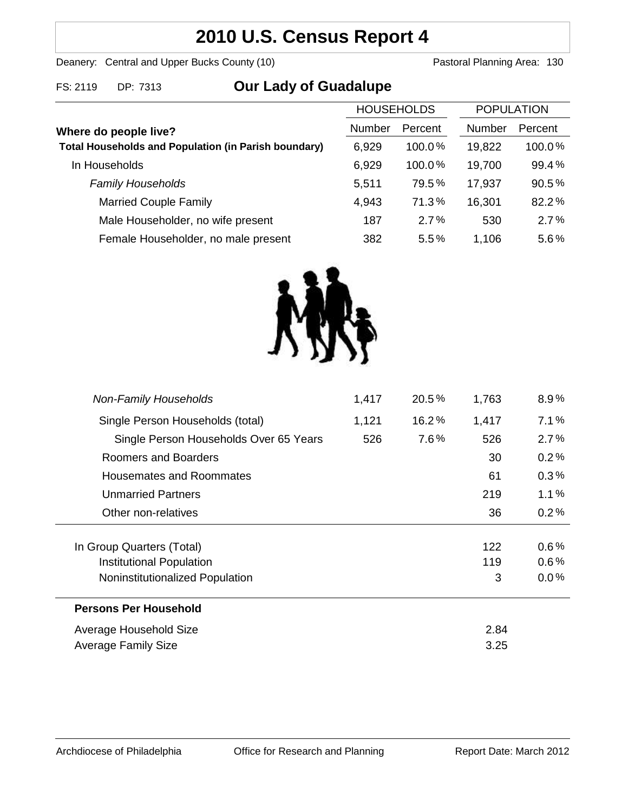# **2010 U.S. Census Report 4**

Deanery: Central and Upper Bucks County (10) Deanery: Central and Upper Bucks County (10)

FS: 2119 DP: 7313 **Our Lady of Guadalupe**

| <b>HOUSEHOLDS</b>                                           |        | <b>POPULATION</b> |        |         |
|-------------------------------------------------------------|--------|-------------------|--------|---------|
| Where do people live?                                       | Number | Percent           | Number | Percent |
| <b>Total Households and Population (in Parish boundary)</b> | 6,929  | $100.0\%$         | 19,822 | 100.0%  |
| In Households                                               | 6,929  | 100.0%            | 19,700 | 99.4%   |
| <b>Family Households</b>                                    | 5,511  | 79.5%             | 17,937 | 90.5%   |
| <b>Married Couple Family</b>                                | 4,943  | 71.3%             | 16,301 | 82.2%   |
| Male Householder, no wife present                           | 187    | 2.7%              | 530    | 2.7%    |
| Female Householder, no male present                         | 382    | 5.5%              | 1,106  | 5.6%    |



| <b>Non-Family Households</b>           | 1,417 | $20.5\%$ | 1,763 | $8.9\%$ |
|----------------------------------------|-------|----------|-------|---------|
| Single Person Households (total)       | 1,121 | 16.2%    | 1,417 | 7.1%    |
| Single Person Households Over 65 Years | 526   | 7.6%     | 526   | 2.7%    |
| Roomers and Boarders                   |       |          | 30    | 0.2%    |
| Housemates and Roommates               |       |          | 61    | 0.3%    |
| <b>Unmarried Partners</b>              |       |          | 219   | $1.1\%$ |
| Other non-relatives                    |       |          | 36    | 0.2%    |
|                                        |       |          |       |         |
| In Group Quarters (Total)              |       |          | 122   | $0.6\%$ |
| Institutional Population               |       |          | 119   | $0.6\%$ |
| Noninstitutionalized Population        |       |          | 3     | $0.0\%$ |
| <b>Persons Per Household</b>           |       |          |       |         |
| Average Household Size                 |       |          | 2.84  |         |
| Average Family Size                    |       |          | 3.25  |         |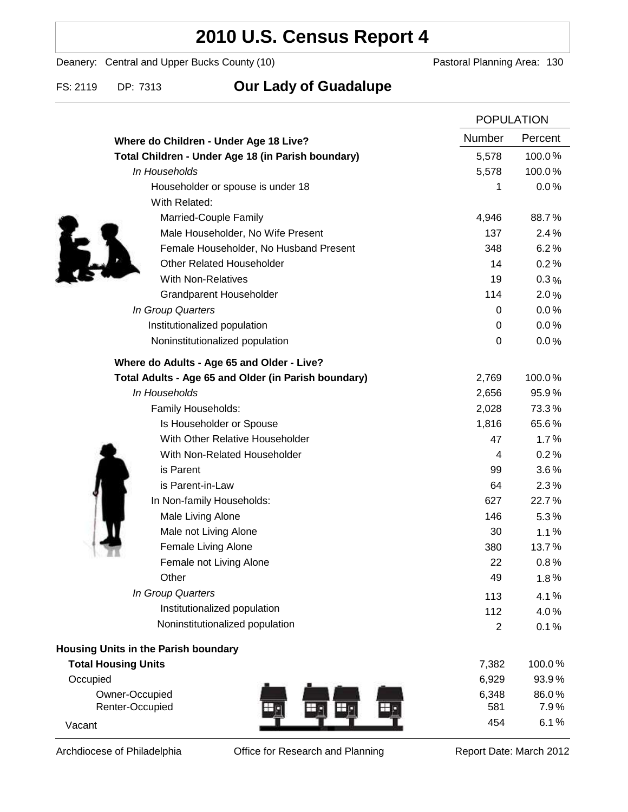## **2010 U.S. Census Report 4**

Deanery: Central and Upper Bucks County (10) Deanery: Central and Upper Bucks County (10)

### FS: 2119 DP: 7313 **Our Lady of Guadalupe**

|                                                      | <b>POPULATION</b> |         |
|------------------------------------------------------|-------------------|---------|
| Where do Children - Under Age 18 Live?               | Number            | Percent |
| Total Children - Under Age 18 (in Parish boundary)   | 5,578             | 100.0%  |
| In Households                                        | 5,578             | 100.0%  |
| Householder or spouse is under 18                    | 1                 | 0.0%    |
| With Related:                                        |                   |         |
| Married-Couple Family                                | 4,946             | 88.7%   |
| Male Householder, No Wife Present                    | 137               | 2.4%    |
| Female Householder, No Husband Present               | 348               | 6.2%    |
| <b>Other Related Householder</b>                     | 14                | 0.2%    |
| <b>With Non-Relatives</b>                            | 19                | $0.3\%$ |
| <b>Grandparent Householder</b>                       | 114               | 2.0%    |
| In Group Quarters                                    | 0                 | 0.0%    |
| Institutionalized population                         | 0                 | 0.0%    |
| Noninstitutionalized population                      | $\pmb{0}$         | 0.0%    |
| Where do Adults - Age 65 and Older - Live?           |                   |         |
| Total Adults - Age 65 and Older (in Parish boundary) | 2,769             | 100.0%  |
| In Households                                        | 2,656             | 95.9%   |
| Family Households:                                   | 2,028             | 73.3%   |
| Is Householder or Spouse                             | 1,816             | 65.6%   |
| With Other Relative Householder                      | 47                | 1.7%    |
| With Non-Related Householder                         | 4                 | 0.2%    |
| is Parent                                            | 99                | $3.6\%$ |
| is Parent-in-Law                                     | 64                | 2.3%    |
| In Non-family Households:                            | 627               | 22.7%   |
| Male Living Alone                                    | 146               | $5.3\%$ |
| Male not Living Alone                                | 30                | 1.1%    |
| Female Living Alone                                  | 380               | 13.7%   |
| Female not Living Alone                              | 22                | 0.8%    |
| Other                                                | 49                | 1.8%    |
| In Group Quarters                                    | 113               | 4.1%    |
| Institutionalized population                         | 112               | 4.0%    |
| Noninstitutionalized population                      | $\overline{2}$    | 0.1%    |
| <b>Housing Units in the Parish boundary</b>          |                   |         |
| <b>Total Housing Units</b>                           | 7,382             | 100.0%  |
| Occupied                                             | 6,929             | 93.9%   |
| Owner-Occupied                                       | 6,348             | 86.0%   |
| Renter-Occupied<br>丑                                 | 581               | 7.9%    |
| Vacant                                               | 454               | 6.1%    |

Archdiocese of Philadelphia **Office for Research and Planning** Report Date: March 2012